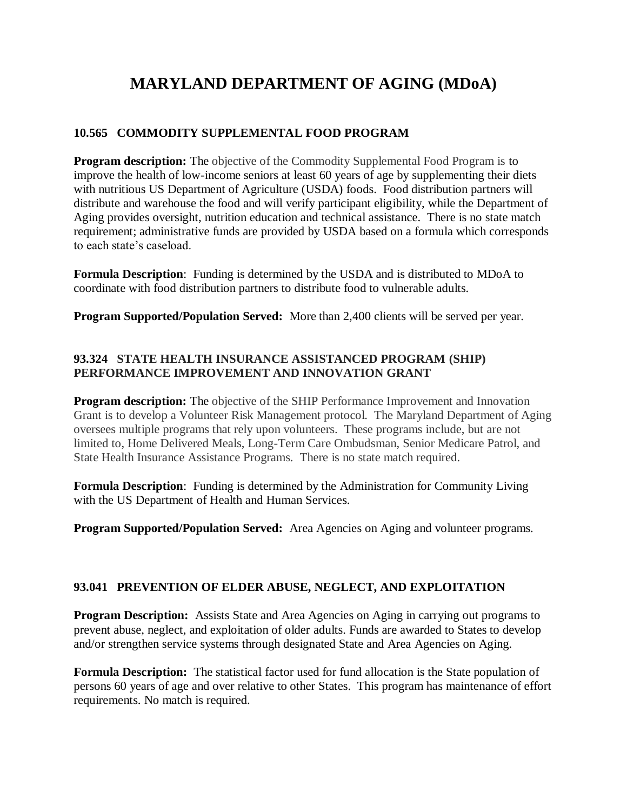# **MARYLAND DEPARTMENT OF AGING (MDoA)**

## **10.565 COMMODITY SUPPLEMENTAL FOOD PROGRAM**

**Program description:** The objective of the Commodity Supplemental Food Program is to improve the health of low-income seniors at least 60 years of age by supplementing their diets with nutritious US Department of Agriculture (USDA) foods. Food distribution partners will distribute and warehouse the food and will verify participant eligibility, while the Department of Aging provides oversight, nutrition education and technical assistance. There is no state match requirement; administrative funds are provided by USDA based on a formula which corresponds to each state's caseload.

**Formula Description**: Funding is determined by the USDA and is distributed to MDoA to coordinate with food distribution partners to distribute food to vulnerable adults.

**Program Supported/Population Served:** More than 2,400 clients will be served per year.

## **93.324 STATE HEALTH INSURANCE ASSISTANCED PROGRAM (SHIP) PERFORMANCE IMPROVEMENT AND INNOVATION GRANT**

**Program description:** The objective of the SHIP Performance Improvement and Innovation Grant is to develop a Volunteer Risk Management protocol. The Maryland Department of Aging oversees multiple programs that rely upon volunteers. These programs include, but are not limited to, Home Delivered Meals, Long-Term Care Ombudsman, Senior Medicare Patrol, and State Health Insurance Assistance Programs. There is no state match required.

**Formula Description**: Funding is determined by the Administration for Community Living with the US Department of Health and Human Services.

**Program Supported/Population Served:** Area Agencies on Aging and volunteer programs.

## **93.041 PREVENTION OF ELDER ABUSE, NEGLECT, AND EXPLOITATION**

**Program Description:** Assists State and Area Agencies on Aging in carrying out programs to prevent abuse, neglect, and exploitation of older adults. Funds are awarded to States to develop and/or strengthen service systems through designated State and Area Agencies on Aging.

**Formula Description:** The statistical factor used for fund allocation is the State population of persons 60 years of age and over relative to other States. This program has maintenance of effort requirements. No match is required.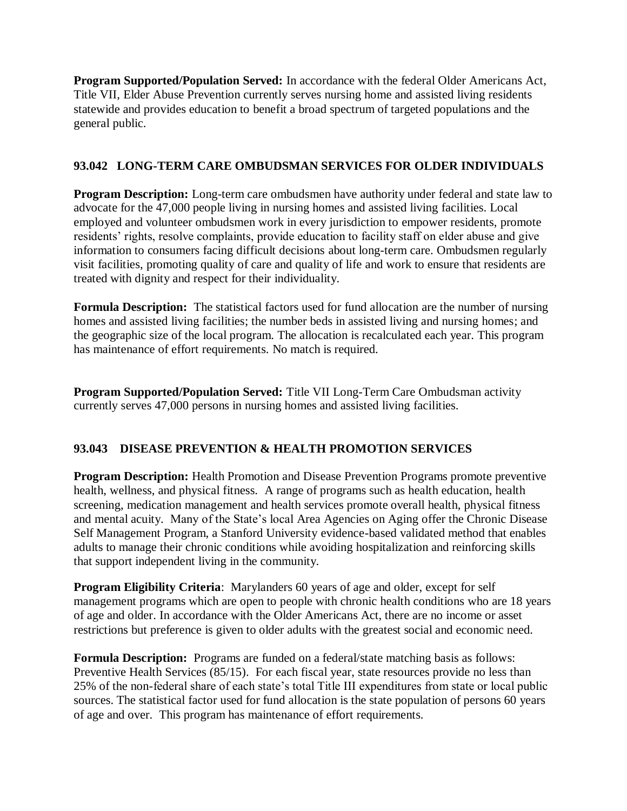**Program Supported/Population Served:** In accordance with the federal Older Americans Act, Title VII, Elder Abuse Prevention currently serves nursing home and assisted living residents statewide and provides education to benefit a broad spectrum of targeted populations and the general public.

# **93.042 LONG-TERM CARE OMBUDSMAN SERVICES FOR OLDER INDIVIDUALS**

**Program Description:** Long-term care ombudsmen have authority under federal and state law to advocate for the 47,000 people living in nursing homes and assisted living facilities. Local employed and volunteer ombudsmen work in every jurisdiction to empower residents, promote residents' rights, resolve complaints, provide education to facility staff on elder abuse and give information to consumers facing difficult decisions about long-term care. Ombudsmen regularly visit facilities, promoting quality of care and quality of life and work to ensure that residents are treated with dignity and respect for their individuality.

**Formula Description:** The statistical factors used for fund allocation are the number of nursing homes and assisted living facilities; the number beds in assisted living and nursing homes; and the geographic size of the local program. The allocation is recalculated each year. This program has maintenance of effort requirements. No match is required.

**Program Supported/Population Served:** Title VII Long-Term Care Ombudsman activity currently serves 47,000 persons in nursing homes and assisted living facilities.

## **93.043 DISEASE PREVENTION & HEALTH PROMOTION SERVICES**

**Program Description:** Health Promotion and Disease Prevention Programs promote preventive health, wellness, and physical fitness. A range of programs such as health education, health screening, medication management and health services promote overall health, physical fitness and mental acuity. Many of the State's local Area Agencies on Aging offer the Chronic Disease Self Management Program, a Stanford University evidence-based validated method that enables adults to manage their chronic conditions while avoiding hospitalization and reinforcing skills that support independent living in the community.

**Program Eligibility Criteria**: Marylanders 60 years of age and older, except for self management programs which are open to people with chronic health conditions who are 18 years of age and older. In accordance with the Older Americans Act, there are no income or asset restrictions but preference is given to older adults with the greatest social and economic need.

**Formula Description:** Programs are funded on a federal/state matching basis as follows: Preventive Health Services (85/15). For each fiscal year, state resources provide no less than 25% of the non-federal share of each state's total Title III expenditures from state or local public sources. The statistical factor used for fund allocation is the state population of persons 60 years of age and over. This program has maintenance of effort requirements.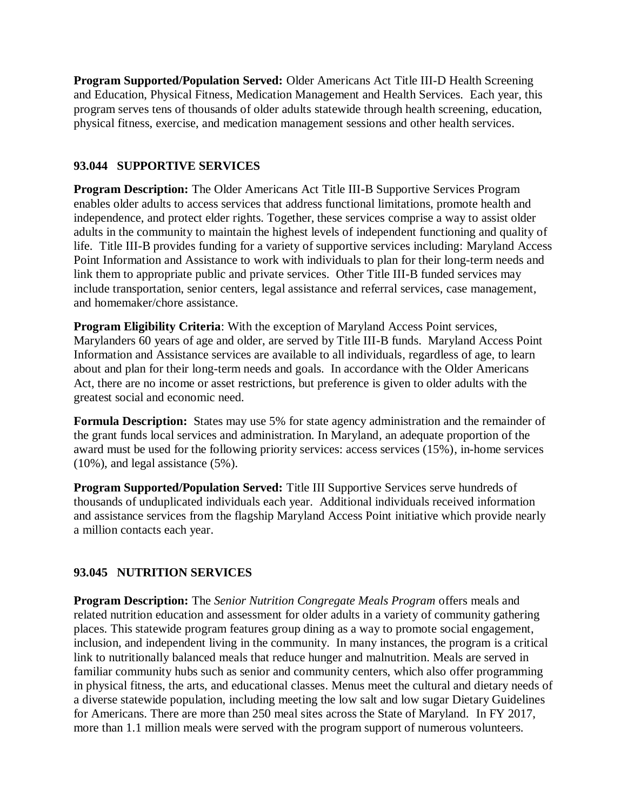**Program Supported/Population Served:** Older Americans Act Title III-D Health Screening and Education, Physical Fitness, Medication Management and Health Services. Each year, this program serves tens of thousands of older adults statewide through health screening, education, physical fitness, exercise, and medication management sessions and other health services.

#### **93.044 SUPPORTIVE SERVICES**

**Program Description:** The Older Americans Act Title III-B Supportive Services Program enables older adults to access services that address functional limitations, promote health and independence, and protect elder rights. Together, these services comprise a way to assist older adults in the community to maintain the highest levels of independent functioning and quality of life. Title III-B provides funding for a variety of supportive services including: Maryland Access Point Information and Assistance to work with individuals to plan for their long-term needs and link them to appropriate public and private services. Other Title III-B funded services may include transportation, senior centers, legal assistance and referral services, case management, and homemaker/chore assistance.

**Program Eligibility Criteria**: With the exception of Maryland Access Point services, Marylanders 60 years of age and older, are served by Title III-B funds. Maryland Access Point Information and Assistance services are available to all individuals, regardless of age, to learn about and plan for their long-term needs and goals. In accordance with the Older Americans Act, there are no income or asset restrictions, but preference is given to older adults with the greatest social and economic need.

**Formula Description:** States may use 5% for state agency administration and the remainder of the grant funds local services and administration. In Maryland, an adequate proportion of the award must be used for the following priority services: access services (15%), in-home services (10%), and legal assistance (5%).

**Program Supported/Population Served:** Title III Supportive Services serve hundreds of thousands of unduplicated individuals each year. Additional individuals received information and assistance services from the flagship Maryland Access Point initiative which provide nearly a million contacts each year.

## **93.045 NUTRITION SERVICES**

**Program Description:** The *Senior Nutrition Congregate Meals Program* offers meals and related nutrition education and assessment for older adults in a variety of community gathering places. This statewide program features group dining as a way to promote social engagement, inclusion, and independent living in the community. In many instances, the program is a critical link to nutritionally balanced meals that reduce hunger and malnutrition. Meals are served in familiar community hubs such as senior and community centers, which also offer programming in physical fitness, the arts, and educational classes. Menus meet the cultural and dietary needs of a diverse statewide population, including meeting the low salt and low sugar Dietary Guidelines for Americans. There are more than 250 meal sites across the State of Maryland. In FY 2017, more than 1.1 million meals were served with the program support of numerous volunteers.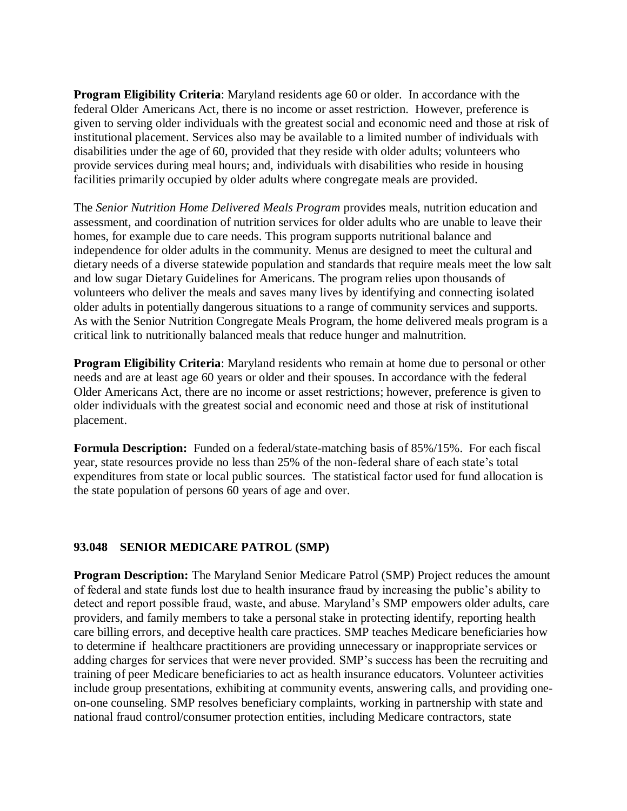**Program Eligibility Criteria**: Maryland residents age 60 or older. In accordance with the federal Older Americans Act, there is no income or asset restriction. However, preference is given to serving older individuals with the greatest social and economic need and those at risk of institutional placement. Services also may be available to a limited number of individuals with disabilities under the age of 60, provided that they reside with older adults; volunteers who provide services during meal hours; and, individuals with disabilities who reside in housing facilities primarily occupied by older adults where congregate meals are provided.

The *Senior Nutrition Home Delivered Meals Program* provides meals, nutrition education and assessment, and coordination of nutrition services for older adults who are unable to leave their homes, for example due to care needs. This program supports nutritional balance and independence for older adults in the community. Menus are designed to meet the cultural and dietary needs of a diverse statewide population and standards that require meals meet the low salt and low sugar Dietary Guidelines for Americans. The program relies upon thousands of volunteers who deliver the meals and saves many lives by identifying and connecting isolated older adults in potentially dangerous situations to a range of community services and supports. As with the Senior Nutrition Congregate Meals Program, the home delivered meals program is a critical link to nutritionally balanced meals that reduce hunger and malnutrition.

**Program Eligibility Criteria:** Maryland residents who remain at home due to personal or other needs and are at least age 60 years or older and their spouses. In accordance with the federal Older Americans Act, there are no income or asset restrictions; however, preference is given to older individuals with the greatest social and economic need and those at risk of institutional placement.

**Formula Description:** Funded on a federal/state-matching basis of 85%/15%. For each fiscal year, state resources provide no less than 25% of the non-federal share of each state's total expenditures from state or local public sources. The statistical factor used for fund allocation is the state population of persons 60 years of age and over.

## **93.048 SENIOR MEDICARE PATROL (SMP)**

**Program Description:** The Maryland Senior Medicare Patrol (SMP) Project reduces the amount of federal and state funds lost due to health insurance fraud by increasing the public's ability to detect and report possible fraud, waste, and abuse. Maryland's SMP empowers older adults, care providers, and family members to take a personal stake in protecting identify, reporting health care billing errors, and deceptive health care practices. SMP teaches Medicare beneficiaries how to determine if healthcare practitioners are providing unnecessary or inappropriate services or adding charges for services that were never provided. SMP's success has been the recruiting and training of peer Medicare beneficiaries to act as health insurance educators. Volunteer activities include group presentations, exhibiting at community events, answering calls, and providing oneon-one counseling. SMP resolves beneficiary complaints, working in partnership with state and national fraud control/consumer protection entities, including Medicare contractors, state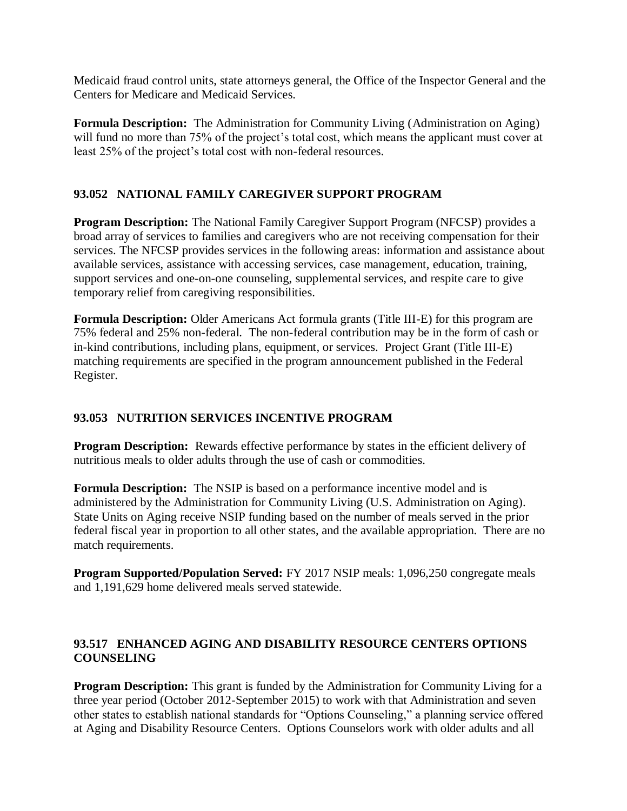Medicaid fraud control units, state attorneys general, the Office of the Inspector General and the Centers for Medicare and Medicaid Services.

**Formula Description:** The Administration for Community Living (Administration on Aging) will fund no more than 75% of the project's total cost, which means the applicant must cover at least 25% of the project's total cost with non-federal resources.

# **93.052 NATIONAL FAMILY CAREGIVER SUPPORT PROGRAM**

**Program Description:** The National Family Caregiver Support Program (NFCSP) provides a broad array of services to families and caregivers who are not receiving compensation for their services. The NFCSP provides services in the following areas: information and assistance about available services, assistance with accessing services, case management, education, training, support services and one-on-one counseling, supplemental services, and respite care to give temporary relief from caregiving responsibilities.

**Formula Description:** Older Americans Act formula grants (Title III-E) for this program are 75% federal and 25% non-federal. The non-federal contribution may be in the form of cash or in-kind contributions, including plans, equipment, or services. Project Grant (Title III-E) matching requirements are specified in the program announcement published in the Federal Register.

# **93.053 NUTRITION SERVICES INCENTIVE PROGRAM**

**Program Description:** Rewards effective performance by states in the efficient delivery of nutritious meals to older adults through the use of cash or commodities.

**Formula Description:** The NSIP is based on a performance incentive model and is administered by the Administration for Community Living (U.S. Administration on Aging). State Units on Aging receive NSIP funding based on the number of meals served in the prior federal fiscal year in proportion to all other states, and the available appropriation. There are no match requirements.

**Program Supported/Population Served:** FY 2017 NSIP meals: 1,096,250 congregate meals and 1,191,629 home delivered meals served statewide.

## **93.517 ENHANCED AGING AND DISABILITY RESOURCE CENTERS OPTIONS COUNSELING**

**Program Description:** This grant is funded by the Administration for Community Living for a three year period (October 2012-September 2015) to work with that Administration and seven other states to establish national standards for "Options Counseling," a planning service offered at Aging and Disability Resource Centers. Options Counselors work with older adults and all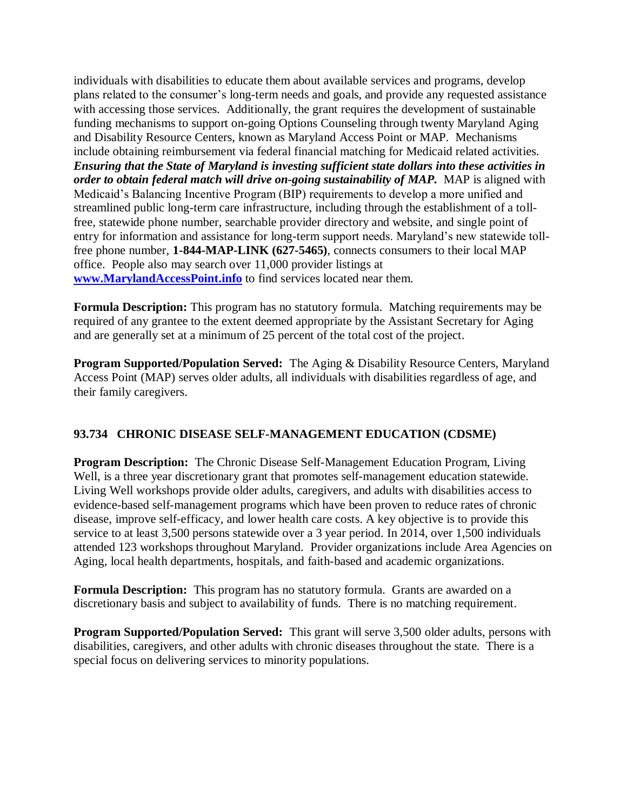individuals with disabilities to educate them about available services and programs, develop plans related to the consumer's long-term needs and goals, and provide any requested assistance with accessing those services. Additionally, the grant requires the development of sustainable funding mechanisms to support on-going Options Counseling through twenty Maryland Aging and Disability Resource Centers, known as Maryland Access Point or MAP. Mechanisms include obtaining reimbursement via federal financial matching for Medicaid related activities. *Ensuring that the State of Maryland is investing sufficient state dollars into these activities in order to obtain federal match will drive on-going sustainability of MAP.* MAP is aligned with Medicaid's Balancing Incentive Program (BIP) requirements to develop a more unified and streamlined public long-term care infrastructure, including through the establishment of a tollfree, statewide phone number, searchable provider directory and website, and single point of entry for information and assistance for long-term support needs. Maryland's new statewide tollfree phone number, **1-844-MAP-LINK (627-5465)**, connects consumers to their local MAP office. People also may search over 11,000 provider listings at **[www.MarylandAccessPoint.info](http://www.marylandaccesspoint.info/)** to find services located near them.

**Formula Description:** This program has no statutory formula. Matching requirements may be required of any grantee to the extent deemed appropriate by the Assistant Secretary for Aging and are generally set at a minimum of 25 percent of the total cost of the project.

**Program Supported/Population Served:** The Aging & Disability Resource Centers, Maryland Access Point (MAP) serves older adults, all individuals with disabilities regardless of age, and their family caregivers.

## **93.734 CHRONIC DISEASE SELF-MANAGEMENT EDUCATION (CDSME)**

**Program Description:** The Chronic Disease Self-Management Education Program, Living Well, is a three year discretionary grant that promotes self-management education statewide. Living Well workshops provide older adults, caregivers, and adults with disabilities access to evidence-based self-management programs which have been proven to reduce rates of chronic disease, improve self-efficacy, and lower health care costs. A key objective is to provide this service to at least 3,500 persons statewide over a 3 year period. In 2014, over 1,500 individuals attended 123 workshops throughout Maryland. Provider organizations include Area Agencies on Aging, local health departments, hospitals, and faith-based and academic organizations.

**Formula Description:** This program has no statutory formula. Grants are awarded on a discretionary basis and subject to availability of funds. There is no matching requirement.

**Program Supported/Population Served:** This grant will serve 3,500 older adults, persons with disabilities, caregivers, and other adults with chronic diseases throughout the state. There is a special focus on delivering services to minority populations.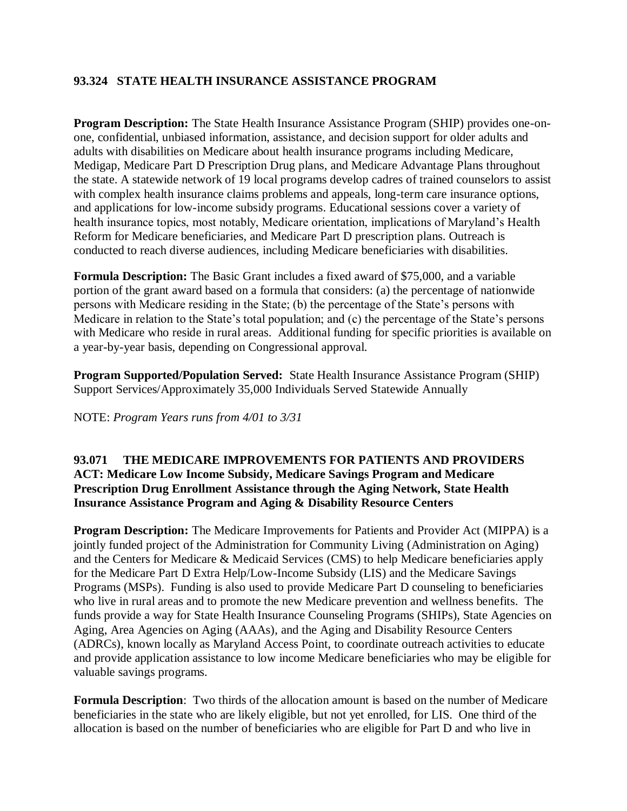## **93.324 STATE HEALTH INSURANCE ASSISTANCE PROGRAM**

**Program Description:** The State Health Insurance Assistance Program (SHIP) provides one-onone, confidential, unbiased information, assistance, and decision support for older adults and adults with disabilities on Medicare about health insurance programs including Medicare, Medigap, Medicare Part D Prescription Drug plans, and Medicare Advantage Plans throughout the state. A statewide network of 19 local programs develop cadres of trained counselors to assist with complex health insurance claims problems and appeals, long-term care insurance options, and applications for low-income subsidy programs. Educational sessions cover a variety of health insurance topics, most notably, Medicare orientation, implications of Maryland's Health Reform for Medicare beneficiaries, and Medicare Part D prescription plans. Outreach is conducted to reach diverse audiences, including Medicare beneficiaries with disabilities.

**Formula Description:** The Basic Grant includes a fixed award of \$75,000, and a variable portion of the grant award based on a formula that considers: (a) the percentage of nationwide persons with Medicare residing in the State; (b) the percentage of the State's persons with Medicare in relation to the State's total population; and (c) the percentage of the State's persons with Medicare who reside in rural areas. Additional funding for specific priorities is available on a year-by-year basis, depending on Congressional approval.

**Program Supported/Population Served:** State Health Insurance Assistance Program (SHIP) Support Services/Approximately 35,000 Individuals Served Statewide Annually

NOTE: *Program Years runs from 4/01 to 3/31*

#### **93.071 THE MEDICARE IMPROVEMENTS FOR PATIENTS AND PROVIDERS ACT: Medicare Low Income Subsidy, Medicare Savings Program and Medicare Prescription Drug Enrollment Assistance through the Aging Network, State Health Insurance Assistance Program and Aging & Disability Resource Centers**

**Program Description:** The Medicare Improvements for Patients and Provider Act (MIPPA) is a jointly funded project of the Administration for Community Living (Administration on Aging) and the Centers for Medicare & Medicaid Services (CMS) to help Medicare beneficiaries apply for the Medicare Part D Extra Help/Low-Income Subsidy (LIS) and the Medicare Savings Programs (MSPs). Funding is also used to provide Medicare Part D counseling to beneficiaries who live in rural areas and to promote the new Medicare prevention and wellness benefits. The funds provide a way for State Health Insurance Counseling Programs (SHIPs), State Agencies on Aging, Area Agencies on Aging (AAAs), and the Aging and Disability Resource Centers (ADRCs), known locally as Maryland Access Point, to coordinate outreach activities to educate and provide application assistance to low income Medicare beneficiaries who may be eligible for valuable savings programs.

**Formula Description**: Two thirds of the allocation amount is based on the number of Medicare beneficiaries in the state who are likely eligible, but not yet enrolled, for LIS. One third of the allocation is based on the number of beneficiaries who are eligible for Part D and who live in